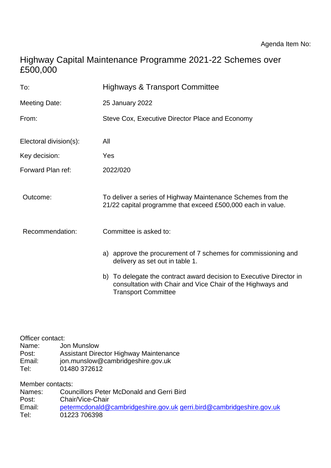# Highway Capital Maintenance Programme 2021-22 Schemes over £500,000

| <b>Highways &amp; Transport Committee</b>                                                                                                                       |  |  |
|-----------------------------------------------------------------------------------------------------------------------------------------------------------------|--|--|
| 25 January 2022                                                                                                                                                 |  |  |
| Steve Cox, Executive Director Place and Economy                                                                                                                 |  |  |
| All                                                                                                                                                             |  |  |
| Yes                                                                                                                                                             |  |  |
| 2022/020                                                                                                                                                        |  |  |
| To deliver a series of Highway Maintenance Schemes from the<br>21/22 capital programme that exceed £500,000 each in value.                                      |  |  |
| Committee is asked to:                                                                                                                                          |  |  |
| approve the procurement of 7 schemes for commissioning and<br>a)<br>delivery as set out in table 1.                                                             |  |  |
| b) To delegate the contract award decision to Executive Director in<br>consultation with Chair and Vice Chair of the Highways and<br><b>Transport Committee</b> |  |  |
|                                                                                                                                                                 |  |  |

| Officer contact: |                                                                      |
|------------------|----------------------------------------------------------------------|
| Name:            | Jon Munslow                                                          |
| Post:            | <b>Assistant Director Highway Maintenance</b>                        |
| Email:           | jon.munslow@cambridgeshire.gov.uk                                    |
| Tel:             | 01480 372612                                                         |
| Member contacts: |                                                                      |
| Names:           | <b>Councillors Peter McDonald and Gerri Bird</b>                     |
| Post:            | Chair/Vice-Chair                                                     |
| Email:           | petermcdonald@cambridgeshire.gov.uk gerri.bird@cambridgeshire.gov.uk |
| Tel:             | 01223 706398                                                         |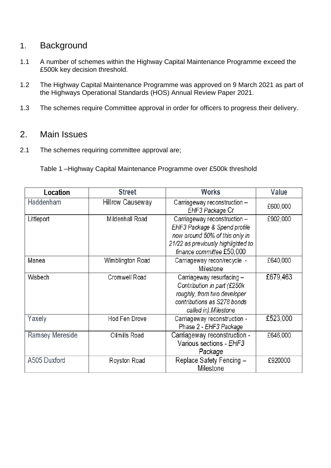### 1. Background

- 1.1 A number of schemes within the Highway Capital Maintenance Programme exceed the £500k key decision threshold.
- 1.2 The Highway Capital Maintenance Programme was approved on 9 March 2021 as part of the Highways Operational Standards (HOS) Annual Review Paper 2021.
- 1.3 The schemes require Committee approval in order for officers to progress their delivery.

#### 2. Main Issues

2.1 The schemes requiring committee approval are;

Table 1 –Highway Capital Maintenance Programme over £500k threshold

| Location        | <b>Street</b>           | <b>Works</b>                                                                                                                                                      | Value    |
|-----------------|-------------------------|-------------------------------------------------------------------------------------------------------------------------------------------------------------------|----------|
| Haddenham       | <b>Hillrow Causeway</b> | Carriageway reconstruction -<br>EHF3 Package Cr                                                                                                                   | £600,000 |
| Littleport      | Mildenhall Road         | Carriageway reconstruction -<br>EHF3 Package & Spend profile<br>now around 50% of this only in<br>21/22 as previously highlighted to<br>finance committee £50,000 | £902,000 |
| Manea           | Wimblington Road        | Carriageway recon/recycle -<br>Milestone                                                                                                                          | £640,000 |
| Wisbech         | Cromwell Road           | Carriageway resurfacing -<br>Contribution in part (£250k<br>roughly, from two developer<br>contributions as S278 bonds<br>called in). Milestone                   | £679,463 |
| Yaxely          | Hod Fen Drove           | Carriageway reconstruction -<br>Phase 2 - EHF3 Package                                                                                                            | £523,000 |
| Ramsey Mereside | Oilmills Road           | Carriageway reconstruction -<br>Various sections - EHF3<br>Package                                                                                                | £646,000 |
| A505 Duxford    | Royston Road            | Replace Safety Fencing -<br>Milestone                                                                                                                             | £920000  |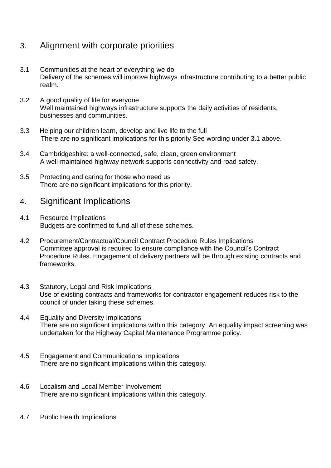## 3. Alignment with corporate priorities

- 3.1 Communities at the heart of everything we do Delivery of the schemes will improve highways infrastructure contributing to a better public realm.
- 3.2 A good quality of life for everyone Well maintained highways infrastructure supports the daily activities of residents, businesses and communities.
- 3.3 Helping our children learn, develop and live life to the full There are no significant implications for this priority See wording under 3.1 above.
- 3.4 Cambridgeshire: a well-connected, safe, clean, green environment A well-maintained highway network supports connectivity and road safety.
- 3.5 Protecting and caring for those who need us There are no significant implications for this priority.

#### 4. Significant Implications

- 4.1 Resource Implications Budgets are confirmed to fund all of these schemes.
- 4.2 Procurement/Contractual/Council Contract Procedure Rules Implications Committee approval is required to ensure compliance with the Council's Contract Procedure Rules. Engagement of delivery partners will be through existing contracts and frameworks.
- 4.3 Statutory, Legal and Risk Implications Use of existing contracts and frameworks for contractor engagement reduces risk to the council of under taking these schemes.
- 4.4 Equality and Diversity Implications There are no significant implications within this category. An equality impact screening was undertaken for the Highway Capital Maintenance Programme policy.
- 4.5 Engagement and Communications Implications There are no significant implications within this category.
- 4.6 Localism and Local Member Involvement There are no significant implications within this category.
- 4.7 Public Health Implications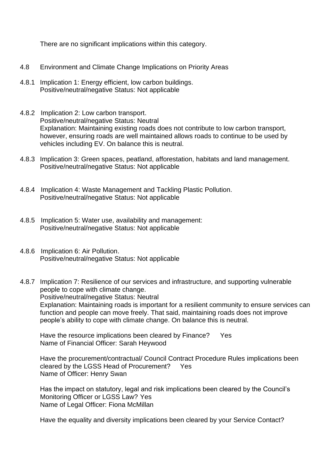There are no significant implications within this category.

- 4.8 Environment and Climate Change Implications on Priority Areas
- 4.8.1 Implication 1: Energy efficient, low carbon buildings. Positive/neutral/negative Status: Not applicable
- 4.8.2 Implication 2: Low carbon transport. Positive/neutral/negative Status: Neutral Explanation: Maintaining existing roads does not contribute to low carbon transport, however, ensuring roads are well maintained allows roads to continue to be used by vehicles including EV. On balance this is neutral.
- 4.8.3 Implication 3: Green spaces, peatland, afforestation, habitats and land management. Positive/neutral/negative Status: Not applicable
- 4.8.4 Implication 4: Waste Management and Tackling Plastic Pollution. Positive/neutral/negative Status: Not applicable
- 4.8.5 Implication 5: Water use, availability and management: Positive/neutral/negative Status: Not applicable
- 4.8.6 Implication 6: Air Pollution. Positive/neutral/negative Status: Not applicable
- 4.8.7 Implication 7: Resilience of our services and infrastructure, and supporting vulnerable people to cope with climate change. Positive/neutral/negative Status: Neutral Explanation: Maintaining roads is important for a resilient community to ensure services can function and people can move freely. That said, maintaining roads does not improve people's ability to cope with climate change. On balance this is neutral.

Have the resource implications been cleared by Finance? Yes Name of Financial Officer: Sarah Heywood

Have the procurement/contractual/ Council Contract Procedure Rules implications been cleared by the LGSS Head of Procurement? Yes Name of Officer: Henry Swan

Has the impact on statutory, legal and risk implications been cleared by the Council's Monitoring Officer or LGSS Law? Yes Name of Legal Officer: Fiona McMillan

Have the equality and diversity implications been cleared by your Service Contact?